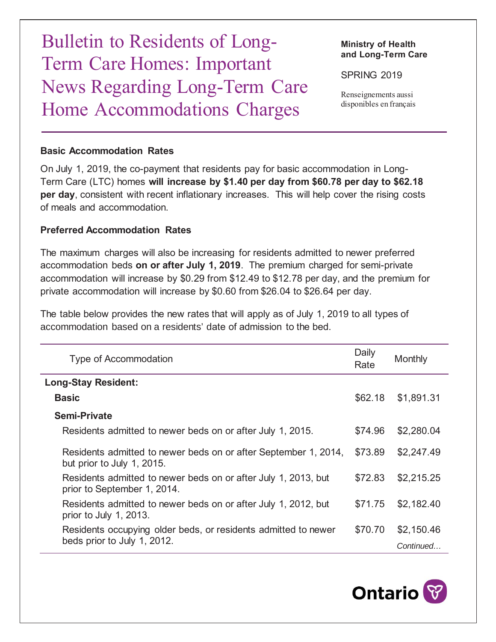Bulletin to Residents of Long-Term Care Homes: Important News Regarding Long-Term Care Home Accommodations Charges

**Ministry of Health and Long-Term Care**

SPRING 2019

Renseignements aussi disponibles en français

## **Basic Accommodation Rates**

On July 1, 2019, the co-payment that residents pay for basic accommodation in Long-Term Care (LTC) homes **will increase by \$1.40 per day from \$60.78 per day to \$62.18 per day**, consistent with recent inflationary increases. This will help cover the rising costs of meals and accommodation.

## **Preferred Accommodation Rates**

The maximum charges will also be increasing for residents admitted to newer preferred accommodation beds **on or after July 1, 2019**. The premium charged for semi-private accommodation will increase by \$0.29 from \$12.49 to \$12.78 per day, and the premium for private accommodation will increase by \$0.60 from \$26.04 to \$26.64 per day.

The table below provides the new rates that will apply as of July 1, 2019 to all types of accommodation based on a residents' date of admission to the bed.

| <b>Type of Accommodation</b>                                                                  | Daily<br>Rate | Monthly                 |
|-----------------------------------------------------------------------------------------------|---------------|-------------------------|
| <b>Long-Stay Resident:</b>                                                                    |               |                         |
| <b>Basic</b>                                                                                  | \$62.18       | \$1,891.31              |
| <b>Semi-Private</b>                                                                           |               |                         |
| Residents admitted to newer beds on or after July 1, 2015.                                    | \$74.96       | \$2,280.04              |
| Residents admitted to newer beds on or after September 1, 2014,<br>but prior to July 1, 2015. | \$73.89       | \$2,247.49              |
| Residents admitted to newer beds on or after July 1, 2013, but<br>prior to September 1, 2014. | \$72.83       | \$2,215.25              |
| Residents admitted to newer beds on or after July 1, 2012, but<br>prior to July 1, 2013.      | \$71.75       | \$2,182.40              |
| Residents occupying older beds, or residents admitted to newer<br>beds prior to July 1, 2012. | \$70.70       | \$2,150.46<br>Continued |